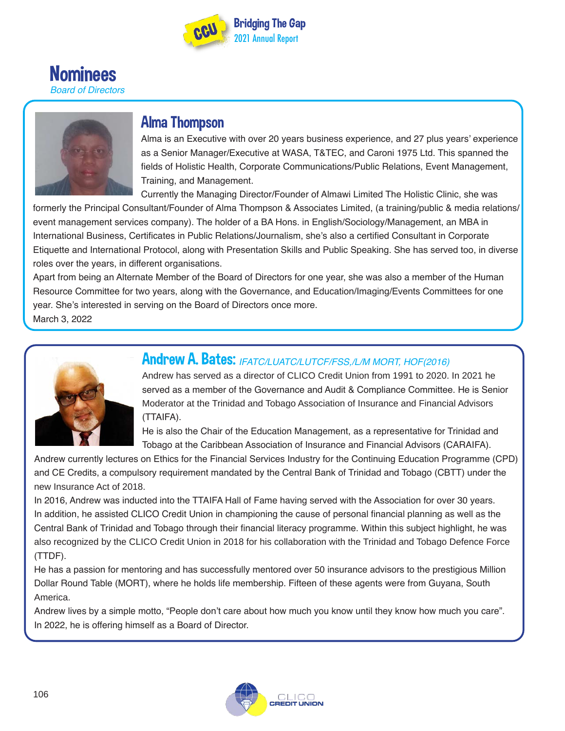





### Alma Thompson

Alma is an Executive with over 20 years business experience, and 27 plus years' experience as a Senior Manager/Executive at WASA, T&TEC, and Caroni 1975 Ltd. This spanned the fields of Holistic Health, Corporate Communications/Public Relations, Event Management, Training, and Management.

Currently the Managing Director/Founder of Almawi Limited The Holistic Clinic, she was

formerly the Principal Consultant/Founder of Alma Thompson & Associates Limited, (a training/public & media relations/ event management services company). The holder of a BA Hons. in English/Sociology/Management, an MBA in International Business, Certificates in Public Relations/Journalism, she's also a certified Consultant in Corporate Etiquette and International Protocol, along with Presentation Skills and Public Speaking. She has served too, in diverse roles over the years, in different organisations.

Apart from being an Alternate Member of the Board of Directors for one year, she was also a member of the Human Resource Committee for two years, along with the Governance, and Education/Imaging/Events Committees for one year. She's interested in serving on the Board of Directors once more.

March 3, 2022



# **Andrew A. Bates: IFATC/LUATC/LUTCF/FSS,/L/M MORT, HOF(2016)**

Andrew has served as a director of CLICO Credit Union from 1991 to 2020. In 2021 he served as a member of the Governance and Audit & Compliance Committee. He is Senior Moderator at the Trinidad and Tobago Association of Insurance and Financial Advisors (TTAIFA).

He is also the Chair of the Education Management, as a representative for Trinidad and Tobago at the Caribbean Association of Insurance and Financial Advisors (CARAIFA).

Andrew currently lectures on Ethics for the Financial Services Industry for the Continuing Education Programme (CPD) and CE Credits, a compulsory requirement mandated by the Central Bank of Trinidad and Tobago (CBTT) under the new Insurance Act of 2018.

In 2016, Andrew was inducted into the TTAIFA Hall of Fame having served with the Association for over 30 years. In addition, he assisted CLICO Credit Union in championing the cause of personal financial planning as well as the Central Bank of Trinidad and Tobago through their financial literacy programme. Within this subject highlight, he was also recognized by the CLICO Credit Union in 2018 for his collaboration with the Trinidad and Tobago Defence Force (TTDF).

He has a passion for mentoring and has successfully mentored over 50 insurance advisors to the prestigious Million Dollar Round Table (MORT), where he holds life membership. Fifteen of these agents were from Guyana, South America.

Andrew lives by a simple motto, "People don't care about how much you know until they know how much you care". In 2022, he is offering himself as a Board of Director.

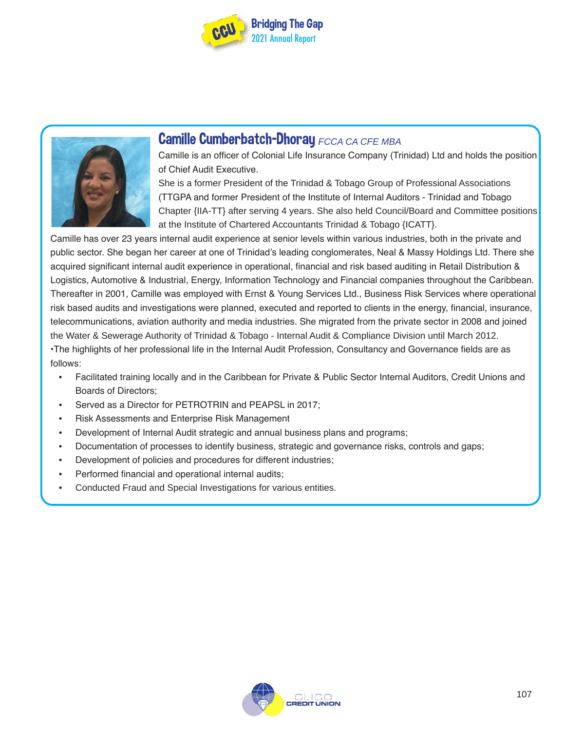



### **Camille Cumberbatch-Dhoray FCCA CA CFE MBA**

Camille is an officer of Colonial Life Insurance Company (Trinidad) Ltd and holds the position of Chief Audit Executive.

She is a former President of the Trinidad & Tobago Group of Professional Associations (TTGPA and former President of the Institute of Internal Auditors - Trinidad and Tobago Chapter {IIA-TT} after serving 4 years. She also held Council/Board and Committee positions at the Institute of Chartered Accountants Trinidad & Tobago {ICATT}.

Camille has over 23 years internal audit experience at senior levels within various industries, both in the private and public sector. She began her career at one of Trinidad's leading conglomerates, Neal & Massy Holdings Ltd. There she acquired significant internal audit experience in operational, financial and risk based auditing in Retail Distribution & Logistics, Automotive & Industrial, Energy, Information Technology and Financial companies throughout the Caribbean. Thereafter in 2001, Camille was employed with Ernst & Young Services Ltd., Business Risk Services where operational risk based audits and investigations were planned, executed and reported to clients in the energy, financial, insurance, telecommunications, aviation authority and media industries. She migrated from the private sector in 2008 and joined the Water & Sewerage Authority of Trinidad & Tobago - Internal Audit & Compliance Division until March 2012. •The highlights of her professional life in the Internal Audit Profession, Consultancy and Governance fields are as follows:

- Facilitated training locally and in the Caribbean for Private & Public Sector Internal Auditors, Credit Unions and Boards of Directors;
- Served as a Director for PETROTRIN and PEAPSL in 2017;
- Risk Assessments and Enterprise Risk Management
- Development of Internal Audit strategic and annual business plans and programs;
- Documentation of processes to identify business, strategic and governance risks, controls and gaps;
- Development of policies and procedures for different industries;
- Performed financial and operational internal audits;
- Conducted Fraud and Special Investigations for various entities.

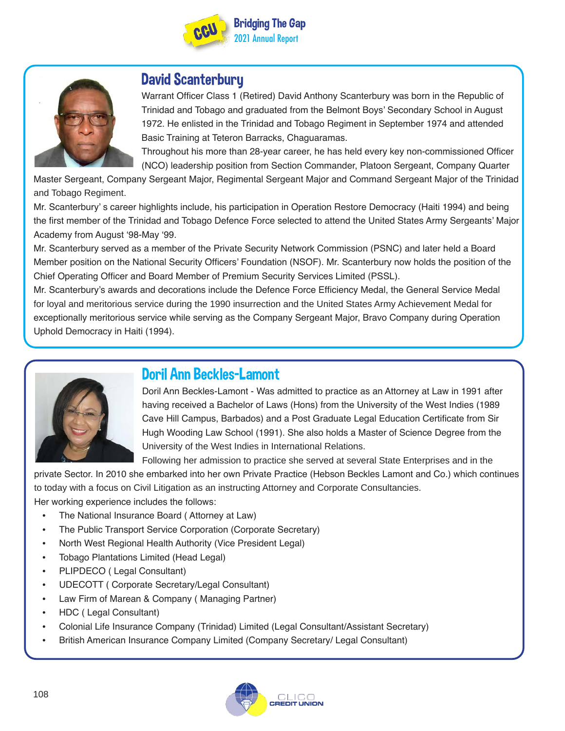



## David Scanterbury

Warrant Officer Class 1 (Retired) David Anthony Scanterbury was born in the Republic of Trinidad and Tobago and graduated from the Belmont Boys' Secondary School in August 1972. He enlisted in the Trinidad and Tobago Regiment in September 1974 and attended Basic Training at Teteron Barracks, Chaguaramas.

Throughout his more than 28-year career, he has held every key non-commissioned Officer (NCO) leadership position from Section Commander, Platoon Sergeant, Company Quarter

Master Sergeant, Company Sergeant Major, Regimental Sergeant Major and Command Sergeant Major of the Trinidad and Tobago Regiment.

Mr. Scanterbury' s career highlights include, his participation in Operation Restore Democracy (Haiti 1994) and being the first member of the Trinidad and Tobago Defence Force selected to attend the United States Army Sergeants' Major Academy from August '98-May '99.

Mr. Scanterbury served as a member of the Private Security Network Commission (PSNC) and later held a Board Member position on the National Security Officers' Foundation (NSOF). Mr. Scanterbury now holds the position of the Chief Operating Officer and Board Member of Premium Security Services Limited (PSSL).

Mr. Scanterbury's awards and decorations include the Defence Force Efficiency Medal, the General Service Medal for loyal and meritorious service during the 1990 insurrection and the United States Army Achievement Medal for exceptionally meritorious service while serving as the Company Sergeant Major, Bravo Company during Operation Uphold Democracy in Haiti (1994).



## Doril Ann Beckles-Lamont

Doril Ann Beckles-Lamont - Was admitted to practice as an Attorney at Law in 1991 after having received a Bachelor of Laws (Hons) from the University of the West Indies (1989 Cave Hill Campus, Barbados) and a Post Graduate Legal Education Certificate from Sir Hugh Wooding Law School (1991). She also holds a Master of Science Degree from the University of the West Indies in International Relations.

Following her admission to practice she served at several State Enterprises and in the

private Sector. In 2010 she embarked into her own Private Practice (Hebson Beckles Lamont and Co.) which continues to today with a focus on Civil Litigation as an instructing Attorney and Corporate Consultancies. Her working experience includes the follows:

- The National Insurance Board ( Attorney at Law)
- The Public Transport Service Corporation (Corporate Secretary)
- North West Regional Health Authority (Vice President Legal)
- Tobago Plantations Limited (Head Legal)
- PLIPDECO ( Legal Consultant)
- UDECOTT ( Corporate Secretary/Legal Consultant)
- Law Firm of Marean & Company ( Managing Partner)
- HDC ( Legal Consultant)
- Colonial Life Insurance Company (Trinidad) Limited (Legal Consultant/Assistant Secretary)
- British American Insurance Company Limited (Company Secretary/ Legal Consultant)

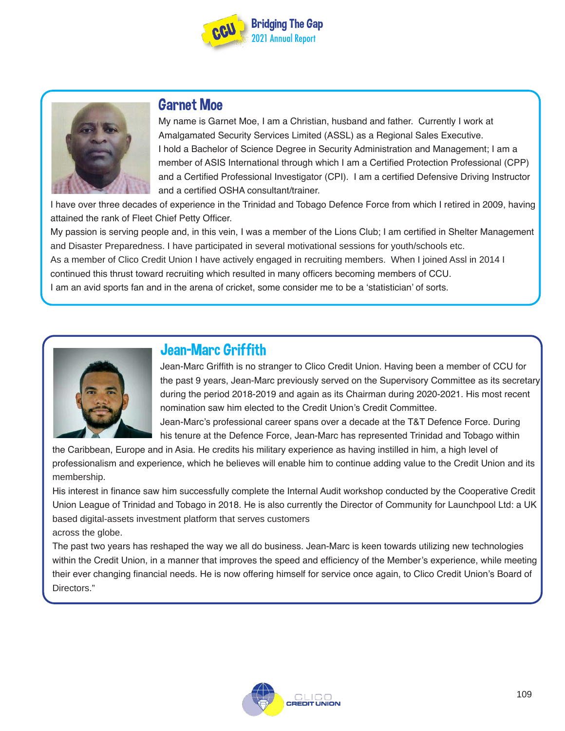



## Garnet Moe

My name is Garnet Moe, I am a Christian, husband and father. Currently I work at Amalgamated Security Services Limited (ASSL) as a Regional Sales Executive. I hold a Bachelor of Science Degree in Security Administration and Management; I am a member of ASIS International through which I am a Certified Protection Professional (CPP) and a Certified Professional Investigator (CPI). I am a certified Defensive Driving Instructor and a certified OSHA consultant/trainer.

I have over three decades of experience in the Trinidad and Tobago Defence Force from which I retired in 2009, having attained the rank of Fleet Chief Petty Officer.

My passion is serving people and, in this vein, I was a member of the Lions Club; I am certified in Shelter Management and Disaster Preparedness. I have participated in several motivational sessions for youth/schools etc. As a member of Clico Credit Union I have actively engaged in recruiting members. When I joined Assl in 2014 I continued this thrust toward recruiting which resulted in many officers becoming members of CCU. I am an avid sports fan and in the arena of cricket, some consider me to be a 'statistician' of sorts.



# Jean-Marc Griffith

Jean-Marc Griffith is no stranger to Clico Credit Union. Having been a member of CCU for the past 9 years, Jean-Marc previously served on the Supervisory Committee as its secretary during the period 2018-2019 and again as its Chairman during 2020-2021. His most recent nomination saw him elected to the Credit Union's Credit Committee.

Jean-Marc's professional career spans over a decade at the T&T Defence Force. During his tenure at the Defence Force, Jean-Marc has represented Trinidad and Tobago within

the Caribbean, Europe and in Asia. He credits his military experience as having instilled in him, a high level of professionalism and experience, which he believes will enable him to continue adding value to the Credit Union and its membership.

His interest in finance saw him successfully complete the Internal Audit workshop conducted by the Cooperative Credit Union League of Trinidad and Tobago in 2018. He is also currently the Director of Community for Launchpool Ltd: a UK based digital-assets investment platform that serves customers across the globe.

The past two years has reshaped the way we all do business. Jean-Marc is keen towards utilizing new technologies within the Credit Union, in a manner that improves the speed and efficiency of the Member's experience, while meeting their ever changing financial needs. He is now offering himself for service once again, to Clico Credit Union's Board of Directors."

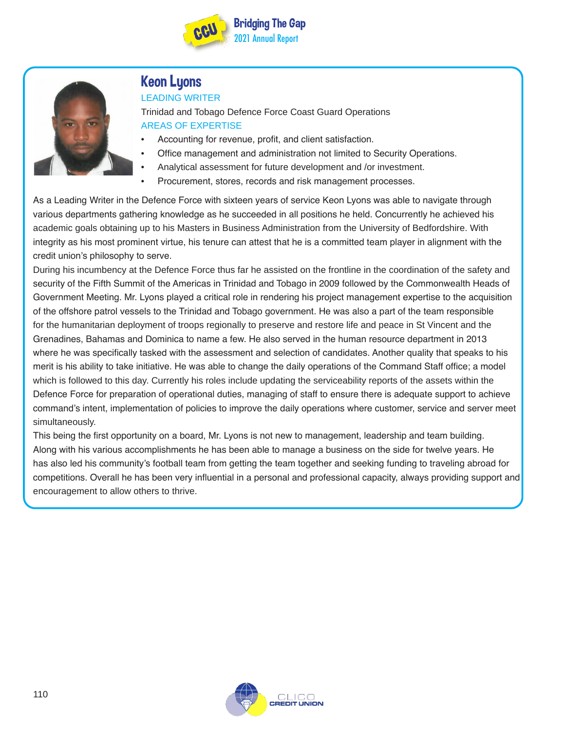



# Keon Lyons

#### LEADING WRITER

Trinidad and Tobago Defence Force Coast Guard Operations AREAS OF EXPERTISE

- Accounting for revenue, profit, and client satisfaction.
- Office management and administration not limited to Security Operations.
- Analytical assessment for future development and /or investment.
- Procurement, stores, records and risk management processes.

As a Leading Writer in the Defence Force with sixteen years of service Keon Lyons was able to navigate through various departments gathering knowledge as he succeeded in all positions he held. Concurrently he achieved his academic goals obtaining up to his Masters in Business Administration from the University of Bedfordshire. With integrity as his most prominent virtue, his tenure can attest that he is a committed team player in alignment with the credit union's philosophy to serve.

During his incumbency at the Defence Force thus far he assisted on the frontline in the coordination of the safety and security of the Fifth Summit of the Americas in Trinidad and Tobago in 2009 followed by the Commonwealth Heads of Government Meeting. Mr. Lyons played a critical role in rendering his project management expertise to the acquisition of the offshore patrol vessels to the Trinidad and Tobago government. He was also a part of the team responsible for the humanitarian deployment of troops regionally to preserve and restore life and peace in St Vincent and the Grenadines, Bahamas and Dominica to name a few. He also served in the human resource department in 2013 where he was specifically tasked with the assessment and selection of candidates. Another quality that speaks to his merit is his ability to take initiative. He was able to change the daily operations of the Command Staff office; a model which is followed to this day. Currently his roles include updating the serviceability reports of the assets within the Defence Force for preparation of operational duties, managing of staff to ensure there is adequate support to achieve command's intent, implementation of policies to improve the daily operations where customer, service and server meet simultaneously.

This being the first opportunity on a board, Mr. Lyons is not new to management, leadership and team building. Along with his various accomplishments he has been able to manage a business on the side for twelve years. He has also led his community's football team from getting the team together and seeking funding to traveling abroad for competitions. Overall he has been very influential in a personal and professional capacity, always providing support and encouragement to allow others to thrive.

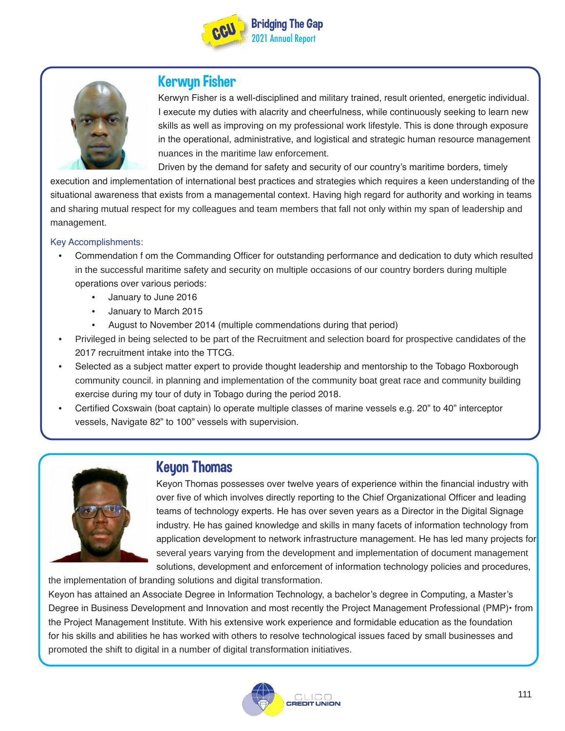



### Kerwyn Fisher

Kerwyn Fisher is a well-disciplined and military trained, result oriented, energetic individual. I execute my duties with alacrity and cheerfulness, while continuously seeking to learn new skills as well as improving on my professional work lifestyle. This is done through exposure in the operational, administrative, and logistical and strategic human resource management nuances in the maritime law enforcement.

Driven by the demand for safety and security of our country's maritime borders, timely

execution and implementation of international best practices and strategies which requires a keen understanding of the situational awareness that exists from a managemental context. Having high regard for authority and working in teams and sharing mutual respect for my colleagues and team members that fall not only within my span of leadership and management.

#### Key Accomplishments:

- Commendation f om the Commanding Officer for outstanding performance and dedication to duty which resulted in the successful maritime safety and security on multiple occasions of our country borders during multiple operations over various periods:
	- January to June 2016
	- January to March 2015
	- August to November 2014 (multiple commendations during that period)
- Privileged in being selected to be part of the Recruitment and selection board for prospective candidates of the 2017 recruitment intake into the TTCG.
- Selected as a subject matter expert to provide thought leadership and mentorship to the Tobago Roxborough community council. in planning and implementation of the community boat great race and community building exercise during my tour of duty in Tobago during the period 2018.
- Certified Coxswain (boat captain) lo operate multiple classes of marine vessels e.g. 20" to 40" interceptor vessels, Navigate 82" to 100" vessels with supervision.



### **Keyon Thomas**

Keyon Thomas possesses over twelve years of experience within the financial industry with over five of which involves directly reporting to the Chief Organizational Officer and leading teams of technology experts. He has over seven years as a Director in the Digital Signage industry. He has gained knowledge and skills in many facets of information technology from application development to network infrastructure management. He has led many projects for several years varying from the development and implementation of document management solutions, development and enforcement of information technology policies and procedures,

the implementation of branding solutions and digital transformation.

Keyon has attained an Associate Degree in Information Technology, a bachelor's degree in Computing, a Master's Degree in Business Development and Innovation and most recently the Project Management Professional (PMP)• from the Project Management Institute. With his extensive work experience and formidable education as the foundation for his skills and abilities he has worked with others to resolve technological issues faced by small businesses and promoted the shift to digital in a number of digital transformation initiatives.

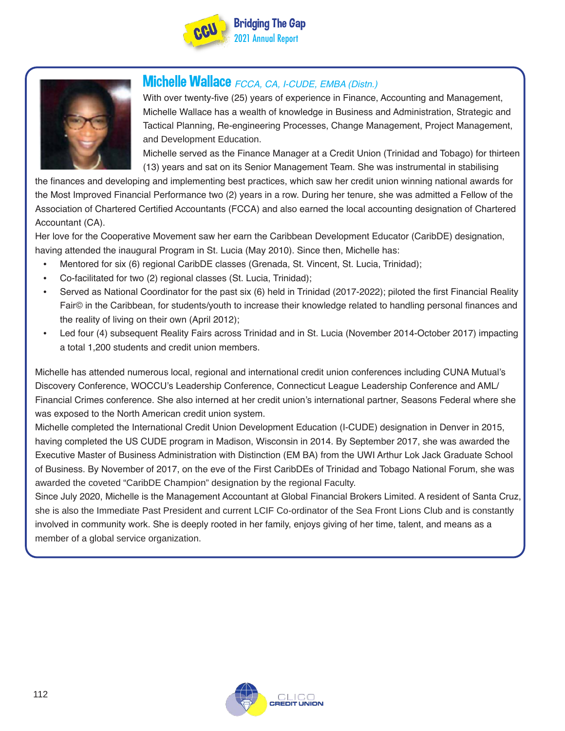



## Michelle Wallace FCCA, CA, I-CUDE, EMBA (Distn.)

With over twenty-five (25) years of experience in Finance, Accounting and Management, Michelle Wallace has a wealth of knowledge in Business and Administration, Strategic and Tactical Planning, Re-engineering Processes, Change Management, Project Management, and Development Education.

Michelle served as the Finance Manager at a Credit Union (Trinidad and Tobago) for thirteen (13) years and sat on its Senior Management Team. She was instrumental in stabilising

the finances and developing and implementing best practices, which saw her credit union winning national awards for the Most Improved Financial Performance two (2) years in a row. During her tenure, she was admitted a Fellow of the Association of Chartered Certified Accountants (FCCA) and also earned the local accounting designation of Chartered Accountant (CA).

Her love for the Cooperative Movement saw her earn the Caribbean Development Educator (CaribDE) designation, having attended the inaugural Program in St. Lucia (May 2010). Since then, Michelle has:

- Mentored for six (6) regional CaribDE classes (Grenada, St. Vincent, St. Lucia, Trinidad);
- Co-facilitated for two (2) regional classes (St. Lucia, Trinidad);
- Served as National Coordinator for the past six (6) held in Trinidad (2017-2022); piloted the first Financial Reality Fair© in the Caribbean, for students/youth to increase their knowledge related to handling personal finances and the reality of living on their own (April 2012);
- Led four (4) subsequent Reality Fairs across Trinidad and in St. Lucia (November 2014-October 2017) impacting a total 1,200 students and credit union members.

Michelle has attended numerous local, regional and international credit union conferences including CUNA Mutual's Discovery Conference, WOCCU's Leadership Conference, Connecticut League Leadership Conference and AML/ Financial Crimes conference. She also interned at her credit union's international partner, Seasons Federal where she was exposed to the North American credit union system.

Michelle completed the International Credit Union Development Education (I-CUDE) designation in Denver in 2015, having completed the US CUDE program in Madison, Wisconsin in 2014. By September 2017, she was awarded the Executive Master of Business Administration with Distinction (EM BA) from the UWI Arthur Lok Jack Graduate School of Business. By November of 2017, on the eve of the First CaribDEs of Trinidad and Tobago National Forum, she was awarded the coveted "CaribDE Champion" designation by the regional Faculty.

Since July 2020, Michelle is the Management Accountant at Global Financial Brokers Limited. A resident of Santa Cruz, she is also the Immediate Past President and current LCIF Co-ordinator of the Sea Front Lions Club and is constantly involved in community work. She is deeply rooted in her family, enjoys giving of her time, talent, and means as a member of a global service organization.

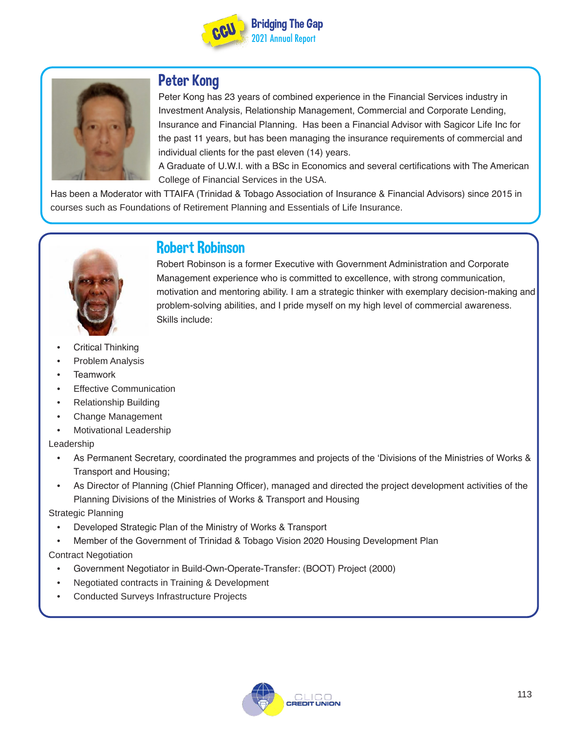



## Peter Kong

Peter Kong has 23 years of combined experience in the Financial Services industry in Investment Analysis, Relationship Management, Commercial and Corporate Lending, Insurance and Financial Planning. Has been a Financial Advisor with Sagicor Life Inc for the past 11 years, but has been managing the insurance requirements of commercial and individual clients for the past eleven (14) years.

A Graduate of U.W.I. with a BSc in Economics and several certifications with The American College of Financial Services in the USA.

Has been a Moderator with TTAIFA (Trinidad & Tobago Association of Insurance & Financial Advisors) since 2015 in courses such as Foundations of Retirement Planning and Essentials of Life Insurance.



# Robert Robinson

Robert Robinson is a former Executive with Government Administration and Corporate Management experience who is committed to excellence, with strong communication, motivation and mentoring ability. I am a strategic thinker with exemplary decision-making and problem-solving abilities, and I pride myself on my high level of commercial awareness. Skills include:

- Critical Thinking
- Problem Analysis
- Teamwork
- **Effective Communication**
- Relationship Building
- Change Management
- Motivational Leadership

#### Leadership

- As Permanent Secretary, coordinated the programmes and projects of the 'Divisions of the Ministries of Works & Transport and Housing;
- As Director of Planning (Chief Planning Officer), managed and directed the project development activities of the Planning Divisions of the Ministries of Works & Transport and Housing

Strategic Planning

- Developed Strategic Plan of the Ministry of Works & Transport
- Member of the Government of Trinidad & Tobago Vision 2020 Housing Development Plan

#### Contract Negotiation

- Government Negotiator in Build-Own-Operate-Transfer: (BOOT) Project (2000)
- Negotiated contracts in Training & Development
- Conducted Surveys Infrastructure Projects

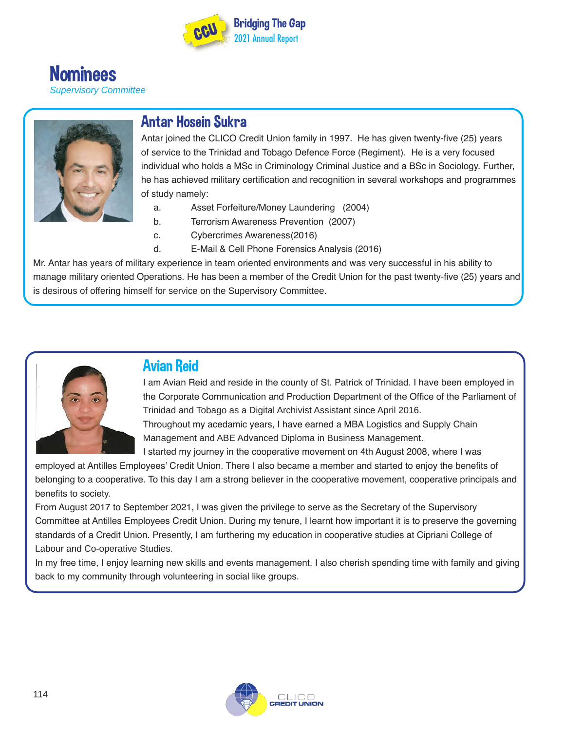

**Nominees** *Supervisory Committee*



## Antar Hosein Sukra

Antar joined the CLICO Credit Union family in 1997. He has given twenty-five (25) years of service to the Trinidad and Tobago Defence Force (Regiment). He is a very focused individual who holds a MSc in Criminology Criminal Justice and a BSc in Sociology. Further, he has achieved military certification and recognition in several workshops and programmes of study namely:

- a. Asset Forfeiture/Money Laundering (2004)
- b. Terrorism Awareness Prevention (2007)
- c. Cybercrimes Awareness(2016)
- d. E-Mail & Cell Phone Forensics Analysis (2016)

Mr. Antar has years of military experience in team oriented environments and was very successful in his ability to manage military oriented Operations. He has been a member of the Credit Union for the past twenty-five (25) years and is desirous of offering himself for service on the Supervisory Committee.



### Avian Reid

I am Avian Reid and reside in the county of St. Patrick of Trinidad. I have been employed in the Corporate Communication and Production Department of the Office of the Parliament of Trinidad and Tobago as a Digital Archivist Assistant since April 2016. Throughout my acedamic years, I have earned a MBA Logistics and Supply Chain Management and ABE Advanced Diploma in Business Management.

I started my journey in the cooperative movement on 4th August 2008, where I was employed at Antilles Employees' Credit Union. There I also became a member and started to enjoy the benefits of

belonging to a cooperative. To this day I am a strong believer in the cooperative movement, cooperative principals and benefits to society.

From August 2017 to September 2021, I was given the privilege to serve as the Secretary of the Supervisory Committee at Antilles Employees Credit Union. During my tenure, I learnt how important it is to preserve the governing standards of a Credit Union. Presently, I am furthering my education in cooperative studies at Cipriani College of Labour and Co-operative Studies.

In my free time, I enjoy learning new skills and events management. I also cherish spending time with family and giving back to my community through volunteering in social like groups.

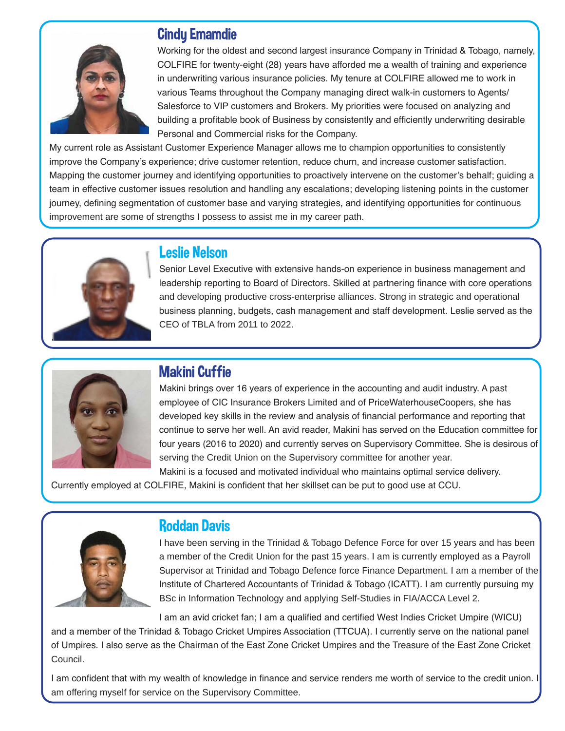

## Cindy Emamdie

Working for the oldest and second largest insurance Company in Trinidad & Tobago, namely, COLFIRE for twenty-eight (28) years have afforded me a wealth of training and experience in underwriting various insurance policies. My tenure at COLFIRE allowed me to work in various Teams throughout the Company managing direct walk-in customers to Agents/ Salesforce to VIP customers and Brokers. My priorities were focused on analyzing and building a profitable book of Business by consistently and efficiently underwriting desirable Personal and Commercial risks for the Company.

My current role as Assistant Customer Experience Manager allows me to champion opportunities to consistently improve the Company's experience; drive customer retention, reduce churn, and increase customer satisfaction. Mapping the customer journey and identifying opportunities to proactively intervene on the customer's behalf; guiding a team in effective customer issues resolution and handling any escalations; developing listening points in the customer journey, defining segmentation of customer base and varying strategies, and identifying opportunities for continuous improvement are some of strengths I possess to assist me in my career path.



## Leslie Nelson

Senior Level Executive with extensive hands-on experience in business management and leadership reporting to Board of Directors. Skilled at partnering finance with core operations and developing productive cross-enterprise alliances. Strong in strategic and operational business planning, budgets, cash management and staff development. Leslie served as the CEO of TBLA from 2011 to 2022.



# Makini Cuffie

Makini brings over 16 years of experience in the accounting and audit industry. A past employee of CIC Insurance Brokers Limited and of PriceWaterhouseCoopers, she has developed key skills in the review and analysis of financial performance and reporting that continue to serve her well. An avid reader, Makini has served on the Education committee for four years (2016 to 2020) and currently serves on Supervisory Committee. She is desirous of serving the Credit Union on the Supervisory committee for another year.

Makini is a focused and motivated individual who maintains optimal service delivery. Currently employed at COLFIRE, Makini is confident that her skillset can be put to good use at CCU.



# Roddan Davis

I have been serving in the Trinidad & Tobago Defence Force for over 15 years and has been a member of the Credit Union for the past 15 years. I am is currently employed as a Payroll Supervisor at Trinidad and Tobago Defence force Finance Department. I am a member of the Institute of Chartered Accountants of Trinidad & Tobago (ICATT). I am currently pursuing my BSc in Information Technology and applying Self-Studies in FIA/ACCA Level 2.

I am an avid cricket fan; I am a qualified and certified West Indies Cricket Umpire (WICU) and a member of the Trinidad & Tobago Cricket Umpires Association (TTCUA). I currently serve on the national panel of Umpires. I also serve as the Chairman of the East Zone Cricket Umpires and the Treasure of the East Zone Cricket Council.

I am confident that with my wealth of knowledge in finance and service renders me worth of service to the credit union. I am offering myself for service on the Supervisory Committee.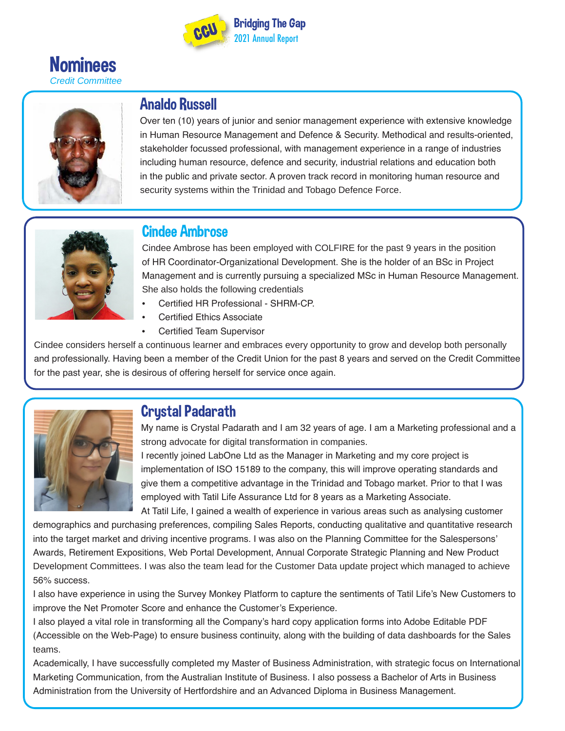





# Analdo Russell

Over ten (10) years of junior and senior management experience with extensive knowledge in Human Resource Management and Defence & Security. Methodical and results-oriented, stakeholder focussed professional, with management experience in a range of industries including human resource, defence and security, industrial relations and education both in the public and private sector. A proven track record in monitoring human resource and security systems within the Trinidad and Tobago Defence Force.



## Cindee Ambrose

Cindee Ambrose has been employed with COLFIRE for the past 9 years in the position of HR Coordinator-Organizational Development. She is the holder of an BSc in Project Management and is currently pursuing a specialized MSc in Human Resource Management. She also holds the following credentials

- Certified HR Professional SHRM-CP.
- Certified Ethics Associate
- Certified Team Supervisor

Cindee considers herself a continuous learner and embraces every opportunity to grow and develop both personally and professionally. Having been a member of the Credit Union for the past 8 years and served on the Credit Committee for the past year, she is desirous of offering herself for service once again.



# Crystal Padarath

My name is Crystal Padarath and I am 32 years of age. I am a Marketing professional and a strong advocate for digital transformation in companies.

I recently joined LabOne Ltd as the Manager in Marketing and my core project is implementation of ISO 15189 to the company, this will improve operating standards and give them a competitive advantage in the Trinidad and Tobago market. Prior to that I was employed with Tatil Life Assurance Ltd for 8 years as a Marketing Associate.

At Tatil Life, I gained a wealth of experience in various areas such as analysing customer demographics and purchasing preferences, compiling Sales Reports, conducting qualitative and quantitative research into the target market and driving incentive programs. I was also on the Planning Committee for the Salespersons' Awards, Retirement Expositions, Web Portal Development, Annual Corporate Strategic Planning and New Product Development Committees. I was also the team lead for the Customer Data update project which managed to achieve 56% success.

I also have experience in using the Survey Monkey Platform to capture the sentiments of Tatil Life's New Customers to improve the Net Promoter Score and enhance the Customer's Experience.

I also played a vital role in transforming all the Company's hard copy application forms into Adobe Editable PDF (Accessible on the Web-Page) to ensure business continuity, along with the building of data dashboards for the Sales teams.

Academically, I have successfully completed my Master of Business Administration, with strategic focus on International Marketing Communication, from the Australian Institute of Business. I also possess a Bachelor of Arts in Business Administration from the University of Hertfordshire and an Advanced Diploma in Business Management.